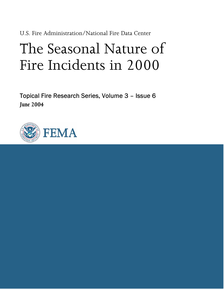U.S. Fire Administration/National Fire Data Center

# The Seasonal Nature of Fire Incidents in 2000

Topical Fire Research Series, Volume 3 – Issue 6 June 2004

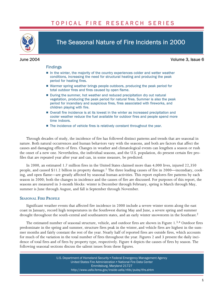### TO P I C A L F I R E R E S E A R C H S E R I E S



## The Seasonal Nature of Fire Incidents in 2000

June 2004 Volume 3, Issue 6

#### Findings

- In the winter, the majority of the country experiences colder and wetter weather conditions, increasing the need for structural heating and producing the peak period for heating fires.
- Warmer spring weather brings people outdoors, producing the peak period for total outdoor fires and fires caused by open flame.
- During the summer, hot weather and reduced precipitation dry out natural vegetation, producing the peak period for natural fires. Summer is also the peak period for incendiary and suspicious fires, fires associated with fireworks, and children playing with fire.
- Overall fire incidence is at its lowest in the winter as increased precipitation and cooler weather reduce the fuel available for outdoor fires and people spend more time indoors.
- The incidence of vehicle fires is relatively constant throughout the year.

Through decades of study, the incidence of fire has followed distinct patterns and trends that are seasonal in nature. Both natural occurrences and human behaviors vary with the seasons, and both are factors that affect the causes and damaging effects of fires. Changes in weather and climatological events can lengthen a season or rush the onset of a new one. Nevertheless, the individual seasons, and the U.S. population, do present certain fire profiles that are repeated year after year and can, in some measure, be predicted.

In 2000, an estimated 1.7 million fires in the United States claimed more than 4,000 lives, injured 22,350 people, and caused \$11.2 billion in property damage.1 The three leading causes of fire in 2000—incendiary, cooking, and open flame—are greatly affected by seasonal human activities. This report explores fire patterns by each season in 2000; both the changes in incidence and the causes of fire are discussed. For purposes of this report, the seasons are measured in 3-month blocks: winter is December through February, spring is March through May, summer is June through August, and fall is September through November.

#### SEASONAL FIRE PROFILE

Significant weather events that affected fire incidence in 2000 include a severe winter storm along the east coast in January, record high temperatures in the Southwest during May and June, a severe spring and summer drought throughout the south−central and southeastern states, and an early winter snowstorm in the Southeast.2

The estimated number of seasonal structure, vehicle, and outdoor fires are shown in Figure 1.3,4 Outdoor fires predominate in the spring and summer, structure fires peak in the winter, and vehicle fires are highest in the summer months and fairly constant the rest of the year. Nearly half of reported fires are outside fires, which accounts for much of the variation in the total number of fires throughout the year. Figures 2 and 3 present the daily incidence of total fires and of fires by property type, respectively. Figure 4 depicts the causes of fires by season. The following seasonal sections discuss the salient issues from these figures.

> U.S. Department of Homeland Security • Federal Emergency Management Agency United States Fire Administration . National Fire Data Center Emmitsburg, Maryland 21727 [http://www.usfa.fema.gov/inside−usfa/nfdc/pubs/tfrs.shtm](http://www.usfa.fema.gov/inside%E2%88%92usfa/nfdc/pubs/tfrs.shtm)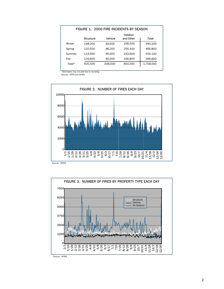| FIGURE 1. 2000 FIRE INCIDENTS BY SEASON |           |         |                      |           |
|-----------------------------------------|-----------|---------|----------------------|-----------|
|                                         | Structure | Vehicle | Outdoor<br>and Other | Total     |
| Winter                                  | 148.200   | 83,500  | 158,500              | 390,200   |
| Spring                                  | 125.500   | 86,200  | 255,100              | 466,800   |
| Summer                                  | 114.900   | 95,600  | 243,600              | 454.100   |
| Fall                                    | 116,800   | 83,200  | 196,800              | 396,800   |
| Total*                                  | 505.500   | 348,500 | 854.000              | 1,708,000 |

\*Estimates may not add due to rounding.

Source: NFPA and NFIRS



Source: NFIRS

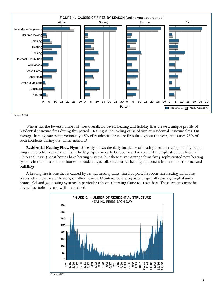

Source: NFIRS

Winter has the lowest number of fires overall; however, heating and holiday fires create a unique profile of residential structure fires during this period. Heating is the leading cause of winter residential structure fires. On average, heating causes approximately 15% of residential structure fires throughout the year, but causes 25% of such incidents during the winter months.<sup>5</sup>

Residential Heating Fires. Figure 5 clearly shows the daily incidence of heating fires increasing rapidly beginning in the cold weather months. (The large spike in early October was the result of multiple structure fires in Ohio and Texas.) Most homes have heating systems, but these systems range from fairly sophisticated new heating systems in the most modern homes to outdated gas, oil, or electrical heating equipment in many older homes and buildings.

A heating fire is one that is caused by central heating units, fixed or portable room−size heating units, fireplaces, chimneys, water heaters, or other devices. Maintenance is a big issue, especially among single−family homes. Oil and gas heating systems in particular rely on a burning flame to create heat. These systems must be cleaned periodically and well maintained.



Source: NFIRS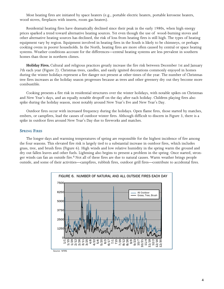Most heating fires are initiated by space heaters (e.g., portable electric heaters, portable kerosene heaters, wood stoves, fireplaces with inserts, room gas heaters).

Residential heating fires have dramatically declined since their peak in the early 1980s, when high energy prices sparked a trend toward alternative heating sources. Yet even though the use of wood-burning stoves and other alternative heating sources has declined, the risk of loss from heating fires is still high. The types of heating equipment vary by region. Equipment involved in heating fires in the South is likely to be chimneys, or perhaps cooking ovens in poorer households. In the North, heating fires are more often caused by central or space heating systems. Weather conditions account for the differences—central heating systems are less prevalent in southern homes than those in northern climes.

Holiday Fires. Cultural and religious practices greatly increase the fire risk between December 1st and January 7th each year (Figure 2). Christmas trees, candles, and easily ignited decorations commonly enjoyed in homes during the winter holidays represent a fire danger not present at other times of the year. The number of Christmas tree fires increases as the holiday season progresses because as trees and other greenery dry out they become more combustible.

Cooking presents a fire risk in residential structures over the winter holidays, with notable spikes on Christmas and New Year's days, and an equally notable dropoff on the day after each holiday. Children playing fires also spike during the holiday season, most notably around New Year's Eve and New Year's Day.

Outdoor fires occur with increased frequency during the holidays. Open flame fires, those started by matches, embers, or campfires, lead the causes of outdoor winter fires. Although difficult to discern in Figure 3, there is a spike in outdoor fires around New Year's Day due to fireworks and matches.

#### SPRING FIRES

The longer days and warming temperatures of spring are responsible for the highest incidence of fire among the four seasons. This elevated fire risk is largely tied to a substantial increase in outdoor fires, which includes grass, tree, and brush fires (Figure 6). High winds and low relative humidity in the spring warm the ground and dry out fallen leaves and other fuels. Lightning also begins to present a problem in the spring. Once started, stronger winds can fan an outside fire.<sup>6</sup> Not all of these fires are due to natural causes. Warm weather brings people outside, and some of their activities—campfires, rubbish fires, outdoor grill fires—contribute to accidental fires.